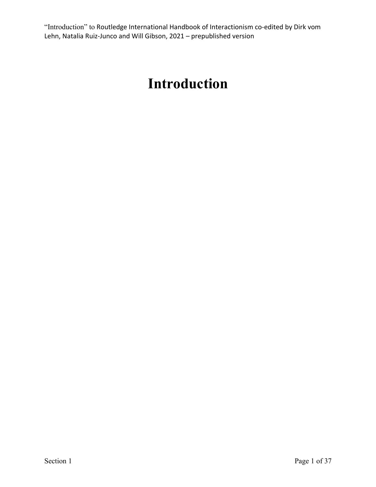# **Introduction**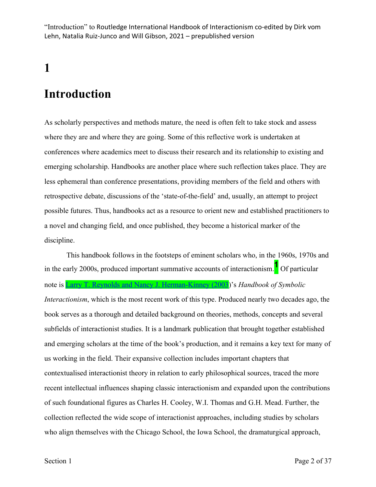## **1**

### **Introduction**

As scholarly perspectives and methods mature, the need is often felt to take stock and assess where they are and where they are going. Some of this reflective work is undertaken at conferences where academics meet to discuss their research and its relationship to existing and emerging scholarship. Handbooks are another place where such reflection takes place. They are less ephemeral than conference presentations, providing members of the field and others with retrospective debate, discussions of the 'state-of-the-field' and, usually, an attempt to project possible futures. Thus, handbooks act as a resource to orient new and established practitioners to a novel and changing field, and once published, they become a historical marker of the discipline.

This handbook follows in the footsteps of eminent scholars who, in the 1960s, 1970s and in the early 2000s, produced important summative accounts of interactionism.**<sup>1</sup>** Of particular note is Larry T. Reynolds and Nancy J. Herman-Kinney (2003)'s *Handbook of Symbolic Interactionism*, which is the most recent work of this type. Produced nearly two decades ago, the book serves as a thorough and detailed background on theories, methods, concepts and several subfields of interactionist studies. It is a landmark publication that brought together established and emerging scholars at the time of the book's production, and it remains a key text for many of us working in the field. Their expansive collection includes important chapters that contextualised interactionist theory in relation to early philosophical sources, traced the more recent intellectual influences shaping classic interactionism and expanded upon the contributions of such foundational figures as Charles H. Cooley, W.I. Thomas and G.H. Mead. Further, the collection reflected the wide scope of interactionist approaches, including studies by scholars who align themselves with the Chicago School, the Iowa School, the dramaturgical approach,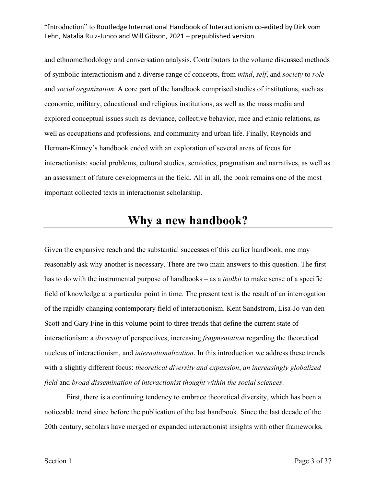and ethnomethodology and conversation analysis. Contributors to the volume discussed methods of symbolic interactionism and a diverse range of concepts, from *mind*, *self*, and *society* to *role* and *social organization*. A core part of the handbook comprised studies of institutions, such as economic, military, educational and religious institutions, as well as the mass media and explored conceptual issues such as deviance, collective behavior, race and ethnic relations, as well as occupations and professions, and community and urban life. Finally, Reynolds and Herman-Kinney's handbook ended with an exploration of several areas of focus for interactionists: social problems, cultural studies, semiotics, pragmatism and narratives, as well as an assessment of future developments in the field. All in all, the book remains one of the most important collected texts in interactionist scholarship.

### **Why a new handbook?**

Given the expansive reach and the substantial successes of this earlier handbook, one may reasonably ask why another is necessary. There are two main answers to this question. The first has to do with the instrumental purpose of handbooks – as a *toolkit* to make sense of a specific field of knowledge at a particular point in time. The present text is the result of an interrogation of the rapidly changing contemporary field of interactionism. Kent Sandstrom, Lisa-Jo van den Scott and Gary Fine in this volume point to three trends that define the current state of interactionism: a *diversity* of perspectives, increasing *fragmentation* regarding the theoretical nucleus of interactionism, and *internationalization*. In this introduction we address these trends with a slightly different focus: *theoretical diversity and expansion*, *an increasingly globalized field* and *broad dissemination of interactionist thought within the social sciences*.

First, there is a continuing tendency to embrace theoretical diversity, which has been a noticeable trend since before the publication of the last handbook. Since the last decade of the 20th century, scholars have merged or expanded interactionist insights with other frameworks,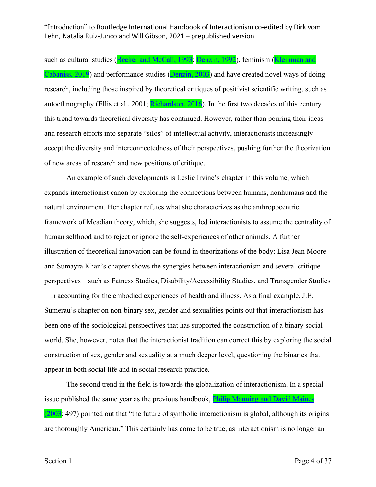such as cultural studies (Becker and McCall, 1993; Denzin, 1992), feminism (Kleinman and Cabaniss, 2019) and performance studies (Denzin, 2003) and have created novel ways of doing research, including those inspired by theoretical critiques of positivist scientific writing, such as autoethnography (Ellis et al., 2001;  $Richardson$ , 2016). In the first two decades of this century this trend towards theoretical diversity has continued. However, rather than pouring their ideas and research efforts into separate "silos" of intellectual activity, interactionists increasingly accept the diversity and interconnectedness of their perspectives, pushing further the theorization of new areas of research and new positions of critique.

An example of such developments is Leslie Irvine's chapter in this volume, which expands interactionist canon by exploring the connections between humans, nonhumans and the natural environment. Her chapter refutes what she characterizes as the anthropocentric framework of Meadian theory, which, she suggests, led interactionists to assume the centrality of human selfhood and to reject or ignore the self-experiences of other animals. A further illustration of theoretical innovation can be found in theorizations of the body: Lisa Jean Moore and Sumayra Khan's chapter shows the synergies between interactionism and several critique perspectives – such as Fatness Studies, Disability/Accessibility Studies, and Transgender Studies – in accounting for the embodied experiences of health and illness. As a final example, J.E. Sumerau's chapter on non-binary sex, gender and sexualities points out that interactionism has been one of the sociological perspectives that has supported the construction of a binary social world. She, however, notes that the interactionist tradition can correct this by exploring the social construction of sex, gender and sexuality at a much deeper level, questioning the binaries that appear in both social life and in social research practice.

The second trend in the field is towards the globalization of interactionism. In a special issue published the same year as the previous handbook, *Philip Manning and David Maines* (2003: 497) pointed out that "the future of symbolic interactionism is global, although its origins are thoroughly American." This certainly has come to be true, as interactionism is no longer an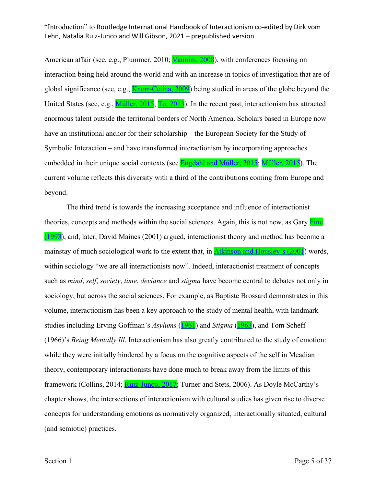American affair (see, e.g., Plummer, 2010; Vannini, 2008), with conferences focusing on interaction being held around the world and with an increase in topics of investigation that are of global significance (see, e.g., Knorr-Cetina, 2009) being studied in areas of the globe beyond the United States (see, e.g., *Müller, 2015*; To, 2013). In the recent past, interactionism has attracted enormous talent outside the territorial borders of North America. Scholars based in Europe now have an institutional anchor for their scholarship – the European Society for the Study of Symbolic Interaction – and have transformed interactionism by incorporating approaches embedded in their unique social contexts (see **Engdahl and Müller, 2015; Müller, 2015**). The current volume reflects this diversity with a third of the contributions coming from Europe and beyond.

The third trend is towards the increasing acceptance and influence of interactionist theories, concepts and methods within the social sciences. Again, this is not new, as Gary Fine (1993), and, later, David Maines (2001) argued, interactionist theory and method has become a mainstay of much sociological work to the extent that, in Atkinson and Housley's (2001) words, within sociology "we are all interactionists now". Indeed, interactionist treatment of concepts such as *mind*, *self*, *society*, *time*, *deviance* and *stigma* have become central to debates not only in sociology, but across the social sciences. For example, as Baptiste Brossard demonstrates in this volume, interactionism has been a key approach to the study of mental health, with landmark studies including Erving Goffman's *Asylums* (1961) and *Stigma* (1963), and Tom Scheff (1966)'s *Being Mentally Ill*. Interactionism has also greatly contributed to the study of emotion: while they were initially hindered by a focus on the cognitive aspects of the self in Meadian theory, contemporary interactionists have done much to break away from the limits of this framework (Collins, 2014; Ruiz-Junco, 2017; Turner and Stets, 2006). As Doyle McCarthy's chapter shows, the intersections of interactionism with cultural studies has given rise to diverse concepts for understanding emotions as normatively organized, interactionally situated, cultural (and semiotic) practices.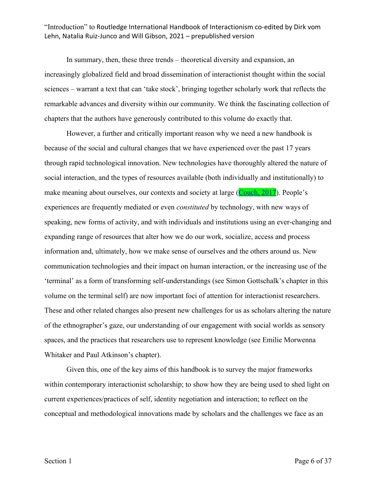In summary, then, these three trends – theoretical diversity and expansion, an increasingly globalized field and broad dissemination of interactionist thought within the social sciences – warrant a text that can 'take stock', bringing together scholarly work that reflects the remarkable advances and diversity within our community. We think the fascinating collection of chapters that the authors have generously contributed to this volume do exactly that.

However, a further and critically important reason why we need a new handbook is because of the social and cultural changes that we have experienced over the past 17 years through rapid technological innovation. New technologies have thoroughly altered the nature of social interaction, and the types of resources available (both individually and institutionally) to make meaning about ourselves, our contexts and society at large (Couch, 2017). People's experiences are frequently mediated or even *constituted* by technology, with new ways of speaking, new forms of activity, and with individuals and institutions using an ever-changing and expanding range of resources that alter how we do our work, socialize, access and process information and, ultimately, how we make sense of ourselves and the others around us. New communication technologies and their impact on human interaction, or the increasing use of the 'terminal' as a form of transforming self-understandings (see Simon Gottschalk's chapter in this volume on the terminal self) are now important foci of attention for interactionist researchers. These and other related changes also present new challenges for us as scholars altering the nature of the ethnographer's gaze, our understanding of our engagement with social worlds as sensory spaces, and the practices that researchers use to represent knowledge (see Emilie Morwenna Whitaker and Paul Atkinson's chapter).

Given this, one of the key aims of this handbook is to survey the major frameworks within contemporary interactionist scholarship; to show how they are being used to shed light on current experiences/practices of self, identity negotiation and interaction; to reflect on the conceptual and methodological innovations made by scholars and the challenges we face as an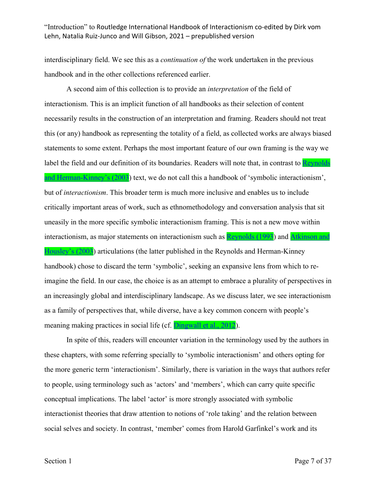interdisciplinary field. We see this as a *continuation of* the work undertaken in the previous handbook and in the other collections referenced earlier.

A second aim of this collection is to provide an *interpretation* of the field of interactionism. This is an implicit function of all handbooks as their selection of content necessarily results in the construction of an interpretation and framing. Readers should not treat this (or any) handbook as representing the totality of a field, as collected works are always biased statements to some extent. Perhaps the most important feature of our own framing is the way we label the field and our definition of its boundaries. Readers will note that, in contrast to Reynolds and Herman-Kinney's (2003) text, we do not call this a handbook of 'symbolic interactionism', but of *interactionism*. This broader term is much more inclusive and enables us to include critically important areas of work, such as ethnomethodology and conversation analysis that sit uneasily in the more specific symbolic interactionism framing. This is not a new move within interactionism, as major statements on interactionism such as Reynolds (1993) and Atkinson and Housley's (2003) articulations (the latter published in the Reynolds and Herman-Kinney handbook) chose to discard the term 'symbolic', seeking an expansive lens from which to reimagine the field. In our case, the choice is as an attempt to embrace a plurality of perspectives in an increasingly global and interdisciplinary landscape. As we discuss later, we see interactionism as a family of perspectives that, while diverse, have a key common concern with people's meaning making practices in social life (cf. **Dingwall et al., 2012**).

In spite of this, readers will encounter variation in the terminology used by the authors in these chapters, with some referring specially to 'symbolic interactionism' and others opting for the more generic term 'interactionism'. Similarly, there is variation in the ways that authors refer to people, using terminology such as 'actors' and 'members', which can carry quite specific conceptual implications. The label 'actor' is more strongly associated with symbolic interactionist theories that draw attention to notions of 'role taking' and the relation between social selves and society. In contrast, 'member' comes from Harold Garfinkel's work and its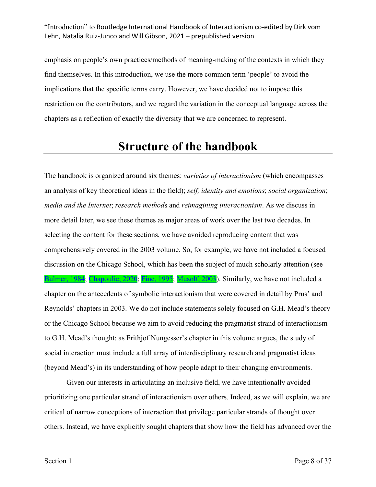emphasis on people's own practices/methods of meaning-making of the contexts in which they find themselves. In this introduction, we use the more common term 'people' to avoid the implications that the specific terms carry. However, we have decided not to impose this restriction on the contributors, and we regard the variation in the conceptual language across the chapters as a reflection of exactly the diversity that we are concerned to represent.

### **Structure of the handbook**

The handbook is organized around six themes: *varieties of interactionism* (which encompasses an analysis of key theoretical ideas in the field); *self, identity and emotions*; *social organization*; *media and the Internet*; *research method*s and *reimagining interactionism*. As we discuss in more detail later, we see these themes as major areas of work over the last two decades. In selecting the content for these sections, we have avoided reproducing content that was comprehensively covered in the 2003 volume. So, for example, we have not included a focused discussion on the Chicago School, which has been the subject of much scholarly attention (see Bulmer, 1984; Chapoulie, 2020; Fine, 1995; Musolf, 2003). Similarly, we have not included a chapter on the antecedents of symbolic interactionism that were covered in detail by Prus' and Reynolds' chapters in 2003. We do not include statements solely focused on G.H. Mead's theory or the Chicago School because we aim to avoid reducing the pragmatist strand of interactionism to G.H. Mead's thought: as Frithjof Nungesser's chapter in this volume argues, the study of social interaction must include a full array of interdisciplinary research and pragmatist ideas (beyond Mead's) in its understanding of how people adapt to their changing environments.

Given our interests in articulating an inclusive field, we have intentionally avoided prioritizing one particular strand of interactionism over others. Indeed, as we will explain, we are critical of narrow conceptions of interaction that privilege particular strands of thought over others. Instead, we have explicitly sought chapters that show how the field has advanced over the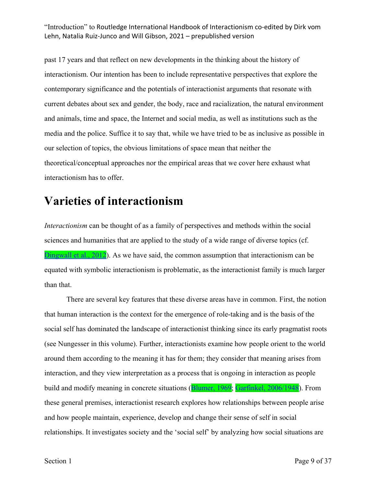past 17 years and that reflect on new developments in the thinking about the history of interactionism. Our intention has been to include representative perspectives that explore the contemporary significance and the potentials of interactionist arguments that resonate with current debates about sex and gender, the body, race and racialization, the natural environment and animals, time and space, the Internet and social media, as well as institutions such as the media and the police. Suffice it to say that, while we have tried to be as inclusive as possible in our selection of topics, the obvious limitations of space mean that neither the theoretical/conceptual approaches nor the empirical areas that we cover here exhaust what interactionism has to offer.

### **Varieties of interactionism**

*Interactionism* can be thought of as a family of perspectives and methods within the social sciences and humanities that are applied to the study of a wide range of diverse topics (cf. Dingwall et al., 2012). As we have said, the common assumption that interactionism can be equated with symbolic interactionism is problematic, as the interactionist family is much larger than that.

There are several key features that these diverse areas have in common. First, the notion that human interaction is the context for the emergence of role-taking and is the basis of the social self has dominated the landscape of interactionist thinking since its early pragmatist roots (see Nungesser in this volume). Further, interactionists examine how people orient to the world around them according to the meaning it has for them; they consider that meaning arises from interaction, and they view interpretation as a process that is ongoing in interaction as people build and modify meaning in concrete situations (Blumer, 1969; Garfinkel, 2006/1948). From these general premises, interactionist research explores how relationships between people arise and how people maintain, experience, develop and change their sense of self in social relationships. It investigates society and the 'social self' by analyzing how social situations are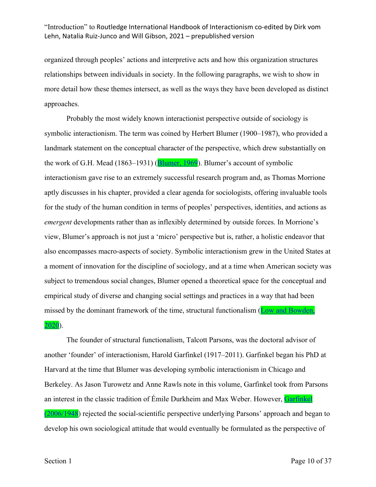organized through peoples' actions and interpretive acts and how this organization structures relationships between individuals in society. In the following paragraphs, we wish to show in more detail how these themes intersect, as well as the ways they have been developed as distinct approaches.

Probably the most widely known interactionist perspective outside of sociology is symbolic interactionism. The term was coined by Herbert Blumer (1900–1987), who provided a landmark statement on the conceptual character of the perspective, which drew substantially on the work of G.H. Mead (1863–1931) (Blumer, 1969). Blumer's account of symbolic interactionism gave rise to an extremely successful research program and, as Thomas Morrione aptly discusses in his chapter, provided a clear agenda for sociologists, offering invaluable tools for the study of the human condition in terms of peoples' perspectives, identities, and actions as *emergent* developments rather than as inflexibly determined by outside forces. In Morrione's view, Blumer's approach is not just a 'micro' perspective but is, rather, a holistic endeavor that also encompasses macro-aspects of society. Symbolic interactionism grew in the United States at a moment of innovation for the discipline of sociology, and at a time when American society was subject to tremendous social changes, Blumer opened a theoretical space for the conceptual and empirical study of diverse and changing social settings and practices in a way that had been missed by the dominant framework of the time, structural functionalism (Low and Bowden,

### 2020).

The founder of structural functionalism, Talcott Parsons, was the doctoral advisor of another 'founder' of interactionism, Harold Garfinkel (1917–2011). Garfinkel began his PhD at Harvard at the time that Blumer was developing symbolic interactionism in Chicago and Berkeley. As Jason Turowetz and Anne Rawls note in this volume, Garfinkel took from Parsons an interest in the classic tradition of Émile Durkheim and Max Weber. However, Garfinkel (2006/1948) rejected the social-scientific perspective underlying Parsons' approach and began to develop his own sociological attitude that would eventually be formulated as the perspective of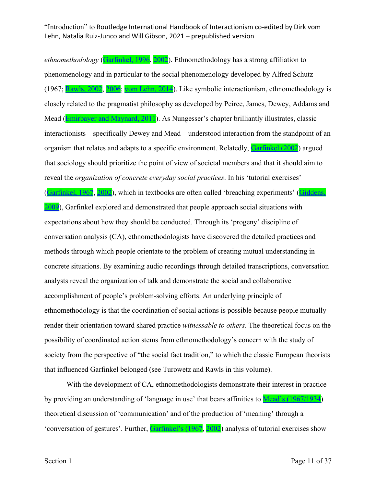*ethnomethodology* (Garfinkel, 1996, 2002). Ethnomethodology has a strong affiliation to phenomenology and in particular to the social phenomenology developed by Alfred Schutz (1967; Rawls, 2002, 2006; vom Lehn, 2014). Like symbolic interactionism, ethnomethodology is closely related to the pragmatist philosophy as developed by Peirce, James, Dewey, Addams and Mead (Emirbayer and Maynard, 2011). As Nungesser's chapter brilliantly illustrates, classic interactionists – specifically Dewey and Mead – understood interaction from the standpoint of an organism that relates and adapts to a specific environment. Relatedly, Garfinkel (2002) argued that sociology should prioritize the point of view of societal members and that it should aim to reveal the *organization of concrete everyday social practices*. In his 'tutorial exercises' (Garfinkel, 1967, 2002), which in textbooks are often called 'breaching experiments' (Giddens, 2009), Garfinkel explored and demonstrated that people approach social situations with expectations about how they should be conducted. Through its 'progeny' discipline of conversation analysis (CA), ethnomethodologists have discovered the detailed practices and methods through which people orientate to the problem of creating mutual understanding in concrete situations. By examining audio recordings through detailed transcriptions, conversation analysts reveal the organization of talk and demonstrate the social and collaborative accomplishment of people's problem-solving efforts. An underlying principle of ethnomethodology is that the coordination of social actions is possible because people mutually render their orientation toward shared practice *witnessable to others*. The theoretical focus on the possibility of coordinated action stems from ethnomethodology's concern with the study of society from the perspective of "the social fact tradition," to which the classic European theorists that influenced Garfinkel belonged (see Turowetz and Rawls in this volume).

With the development of CA, ethnomethodologists demonstrate their interest in practice by providing an understanding of 'language in use' that bears affinities to Mead's (1967/1934) theoretical discussion of 'communication' and of the production of 'meaning' through a 'conversation of gestures'. Further, Garfinkel's (1967, 2002) analysis of tutorial exercises show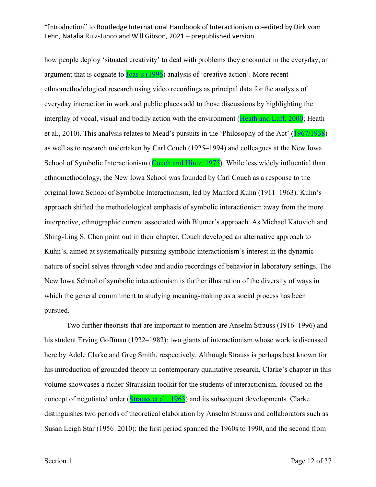how people deploy 'situated creativity' to deal with problems they encounter in the everyday, an argument that is cognate to **Joas's** (1996) analysis of 'creative action'. More recent ethnomethodological research using video recordings as principal data for the analysis of everyday interaction in work and public places add to those discussions by highlighting the interplay of vocal, visual and bodily action with the environment (Heath and Luff, 2000; Heath et al., 2010). This analysis relates to Mead's pursuits in the 'Philosophy of the Act' (1967/1938) as well as to research undertaken by Carl Couch (1925–1994) and colleagues at the New Iowa School of Symbolic Interactionism (Couch and Hintz, 1975). While less widely influential than ethnomethodology, the New Iowa School was founded by Carl Couch as a response to the original Iowa School of Symbolic Interactionism, led by Manford Kuhn (1911–1963). Kuhn's approach shifted the methodological emphasis of symbolic interactionism away from the more interpretive, ethnographic current associated with Blumer's approach. As Michael Katovich and Shing-Ling S. Chen point out in their chapter, Couch developed an alternative approach to Kuhn's, aimed at systematically pursuing symbolic interactionism's interest in the dynamic nature of social selves through video and audio recordings of behavior in laboratory settings. The New Iowa School of symbolic interactionism is further illustration of the diversity of ways in which the general commitment to studying meaning-making as a social process has been pursued.

Two further theorists that are important to mention are Anselm Strauss (1916–1996) and his student Erving Goffman (1922–1982): two giants of interactionism whose work is discussed here by Adele Clarke and Greg Smith, respectively. Although Strauss is perhaps best known for his introduction of grounded theory in contemporary qualitative research, Clarke's chapter in this volume showcases a richer Straussian toolkit for the students of interactionism, focused on the concept of negotiated order (Strauss et al., 1963) and its subsequent developments. Clarke distinguishes two periods of theoretical elaboration by Anselm Strauss and collaborators such as Susan Leigh Star (1956–2010): the first period spanned the 1960s to 1990, and the second from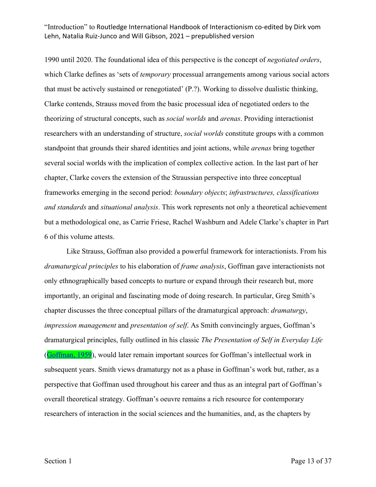1990 until 2020. The foundational idea of this perspective is the concept of *negotiated orders*, which Clarke defines as 'sets of *temporary* processual arrangements among various social actors that must be actively sustained or renegotiated' (P.?). Working to dissolve dualistic thinking, Clarke contends, Strauss moved from the basic processual idea of negotiated orders to the theorizing of structural concepts, such as *social worlds* and *arenas*. Providing interactionist researchers with an understanding of structure, *social worlds* constitute groups with a common standpoint that grounds their shared identities and joint actions, while *arenas* bring together several social worlds with the implication of complex collective action. In the last part of her chapter, Clarke covers the extension of the Straussian perspective into three conceptual frameworks emerging in the second period: *boundary objects*; *infrastructures, classifications and standards* and *situational analysis*. This work represents not only a theoretical achievement but a methodological one, as Carrie Friese, Rachel Washburn and Adele Clarke's chapter in Part 6 of this volume attests.

Like Strauss, Goffman also provided a powerful framework for interactionists. From his *dramaturgical principles* to his elaboration of *frame analysis*, Goffman gave interactionists not only ethnographically based concepts to nurture or expand through their research but, more importantly, an original and fascinating mode of doing research. In particular, Greg Smith's chapter discusses the three conceptual pillars of the dramaturgical approach: *dramaturgy*, *impression management* and *presentation of self*. As Smith convincingly argues, Goffman's dramaturgical principles, fully outlined in his classic *The Presentation of Self in Everyday Life* (Goffman, 1959), would later remain important sources for Goffman's intellectual work in subsequent years. Smith views dramaturgy not as a phase in Goffman's work but, rather, as a perspective that Goffman used throughout his career and thus as an integral part of Goffman's overall theoretical strategy. Goffman's oeuvre remains a rich resource for contemporary researchers of interaction in the social sciences and the humanities, and, as the chapters by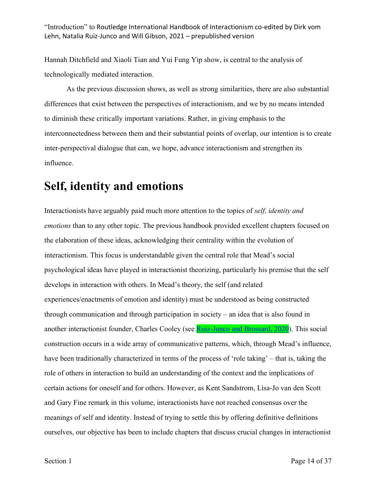Hannah Ditchfield and Xiaoli Tian and Yui Fung Yip show, is central to the analysis of technologically mediated interaction.

As the previous discussion shows, as well as strong similarities, there are also substantial differences that exist between the perspectives of interactionism, and we by no means intended to diminish these critically important variations. Rather, in giving emphasis to the interconnectedness between them and their substantial points of overlap, our intention is to create inter-perspectival dialogue that can, we hope, advance interactionism and strengthen its influence.

### **Self, identity and emotions**

Interactionists have arguably paid much more attention to the topics of *self, identity and emotions* than to any other topic. The previous handbook provided excellent chapters focused on the elaboration of these ideas, acknowledging their centrality within the evolution of interactionism. This focus is understandable given the central role that Mead's social psychological ideas have played in interactionist theorizing, particularly his premise that the self develops in interaction with others. In Mead's theory, the self (and related experiences/enactments of emotion and identity) must be understood as being constructed through communication and through participation in society – an idea that is also found in another interactionist founder, Charles Cooley (see Ruiz-Junco and Brossard, 2020). This social construction occurs in a wide array of communicative patterns, which, through Mead's influence, have been traditionally characterized in terms of the process of 'role taking' – that is, taking the role of others in interaction to build an understanding of the context and the implications of certain actions for oneself and for others. However, as Kent Sandstrom, Lisa-Jo van den Scott and Gary Fine remark in this volume, interactionists have not reached consensus over the meanings of self and identity. Instead of trying to settle this by offering definitive definitions ourselves, our objective has been to include chapters that discuss crucial changes in interactionist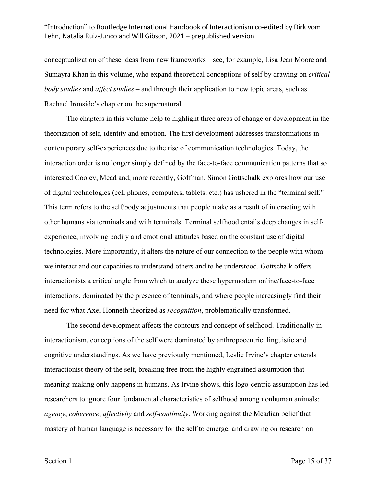conceptualization of these ideas from new frameworks – see, for example, Lisa Jean Moore and Sumayra Khan in this volume, who expand theoretical conceptions of self by drawing on *critical body studies* and *affect studies* – and through their application to new topic areas, such as Rachael Ironside's chapter on the supernatural.

The chapters in this volume help to highlight three areas of change or development in the theorization of self, identity and emotion. The first development addresses transformations in contemporary self-experiences due to the rise of communication technologies. Today, the interaction order is no longer simply defined by the face-to-face communication patterns that so interested Cooley, Mead and, more recently, Goffman. Simon Gottschalk explores how our use of digital technologies (cell phones, computers, tablets, etc.) has ushered in the "terminal self." This term refers to the self/body adjustments that people make as a result of interacting with other humans via terminals and with terminals. Terminal selfhood entails deep changes in selfexperience, involving bodily and emotional attitudes based on the constant use of digital technologies. More importantly, it alters the nature of our connection to the people with whom we interact and our capacities to understand others and to be understood. Gottschalk offers interactionists a critical angle from which to analyze these hypermodern online/face-to-face interactions, dominated by the presence of terminals, and where people increasingly find their need for what Axel Honneth theorized as *recognition*, problematically transformed.

The second development affects the contours and concept of selfhood. Traditionally in interactionism, conceptions of the self were dominated by anthropocentric, linguistic and cognitive understandings. As we have previously mentioned, Leslie Irvine's chapter extends interactionist theory of the self, breaking free from the highly engrained assumption that meaning-making only happens in humans. As Irvine shows, this logo-centric assumption has led researchers to ignore four fundamental characteristics of selfhood among nonhuman animals: *agency*, *coherence*, *affectivity* and *self-continuity*. Working against the Meadian belief that mastery of human language is necessary for the self to emerge, and drawing on research on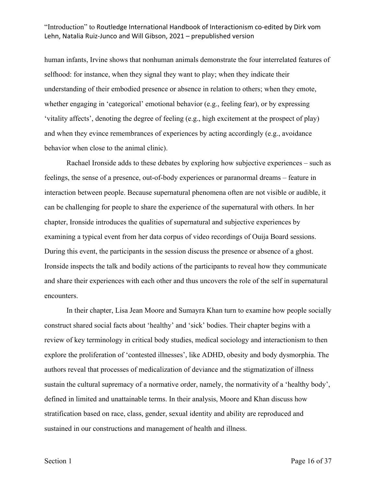human infants, Irvine shows that nonhuman animals demonstrate the four interrelated features of selfhood: for instance, when they signal they want to play; when they indicate their understanding of their embodied presence or absence in relation to others; when they emote, whether engaging in 'categorical' emotional behavior (e.g., feeling fear), or by expressing 'vitality affects', denoting the degree of feeling (e.g., high excitement at the prospect of play) and when they evince remembrances of experiences by acting accordingly (e.g., avoidance behavior when close to the animal clinic).

Rachael Ironside adds to these debates by exploring how subjective experiences – such as feelings, the sense of a presence, out-of-body experiences or paranormal dreams – feature in interaction between people. Because supernatural phenomena often are not visible or audible, it can be challenging for people to share the experience of the supernatural with others. In her chapter, Ironside introduces the qualities of supernatural and subjective experiences by examining a typical event from her data corpus of video recordings of Ouija Board sessions. During this event, the participants in the session discuss the presence or absence of a ghost. Ironside inspects the talk and bodily actions of the participants to reveal how they communicate and share their experiences with each other and thus uncovers the role of the self in supernatural encounters.

In their chapter, Lisa Jean Moore and Sumayra Khan turn to examine how people socially construct shared social facts about 'healthy' and 'sick' bodies. Their chapter begins with a review of key terminology in critical body studies, medical sociology and interactionism to then explore the proliferation of 'contested illnesses', like ADHD, obesity and body dysmorphia. The authors reveal that processes of medicalization of deviance and the stigmatization of illness sustain the cultural supremacy of a normative order, namely, the normativity of a 'healthy body', defined in limited and unattainable terms. In their analysis, Moore and Khan discuss how stratification based on race, class, gender, sexual identity and ability are reproduced and sustained in our constructions and management of health and illness.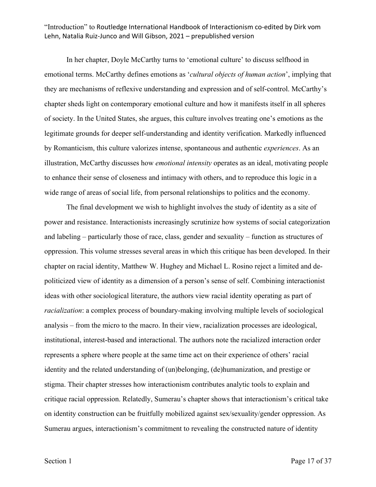In her chapter, Doyle McCarthy turns to 'emotional culture' to discuss selfhood in emotional terms. McCarthy defines emotions as '*cultural objects of human action*', implying that they are mechanisms of reflexive understanding and expression and of self-control. McCarthy's chapter sheds light on contemporary emotional culture and how it manifests itself in all spheres of society. In the United States, she argues, this culture involves treating one's emotions as the legitimate grounds for deeper self-understanding and identity verification. Markedly influenced by Romanticism, this culture valorizes intense, spontaneous and authentic *experiences*. As an illustration, McCarthy discusses how *emotional intensity* operates as an ideal, motivating people to enhance their sense of closeness and intimacy with others, and to reproduce this logic in a wide range of areas of social life, from personal relationships to politics and the economy.

The final development we wish to highlight involves the study of identity as a site of power and resistance. Interactionists increasingly scrutinize how systems of social categorization and labeling – particularly those of race, class, gender and sexuality – function as structures of oppression. This volume stresses several areas in which this critique has been developed. In their chapter on racial identity, Matthew W. Hughey and Michael L. Rosino reject a limited and depoliticized view of identity as a dimension of a person's sense of self. Combining interactionist ideas with other sociological literature, the authors view racial identity operating as part of *racialization*: a complex process of boundary-making involving multiple levels of sociological analysis – from the micro to the macro. In their view, racialization processes are ideological, institutional, interest-based and interactional. The authors note the racialized interaction order represents a sphere where people at the same time act on their experience of others' racial identity and the related understanding of (un)belonging, (de)humanization, and prestige or stigma. Their chapter stresses how interactionism contributes analytic tools to explain and critique racial oppression. Relatedly, Sumerau's chapter shows that interactionism's critical take on identity construction can be fruitfully mobilized against sex/sexuality/gender oppression. As Sumerau argues, interactionism's commitment to revealing the constructed nature of identity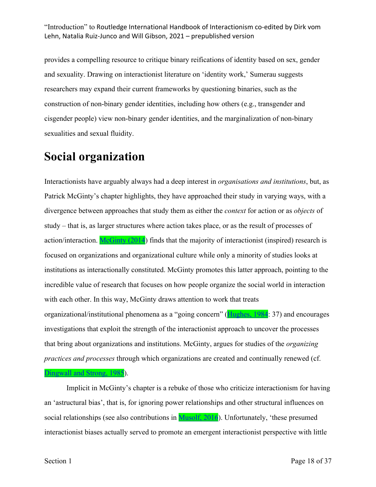provides a compelling resource to critique binary reifications of identity based on sex, gender and sexuality. Drawing on interactionist literature on 'identity work,' Sumerau suggests researchers may expand their current frameworks by questioning binaries, such as the construction of non-binary gender identities, including how others (e.g., transgender and cisgender people) view non-binary gender identities, and the marginalization of non-binary sexualities and sexual fluidity.

### **Social organization**

Interactionists have arguably always had a deep interest in *organisations and institutions*, but, as Patrick McGinty's chapter highlights, they have approached their study in varying ways, with a divergence between approaches that study them as either the *context* for action or as *objects* of study – that is, as larger structures where action takes place, or as the result of processes of action/interaction. McGinty (2014) finds that the majority of interactionist (inspired) research is focused on organizations and organizational culture while only a minority of studies looks at institutions as interactionally constituted. McGinty promotes this latter approach, pointing to the incredible value of research that focuses on how people organize the social world in interaction with each other. In this way, McGinty draws attention to work that treats organizational/institutional phenomena as a "going concern" (Hughes, 1984: 37) and encourages investigations that exploit the strength of the interactionist approach to uncover the processes that bring about organizations and institutions. McGinty, argues for studies of the *organizing practices and processes* through which organizations are created and continually renewed (cf.

#### Dingwall and Strong, 1985).

Implicit in McGinty's chapter is a rebuke of those who criticize interactionism for having an 'astructural bias', that is, for ignoring power relationships and other structural influences on social relationships (see also contributions in **Musolf**, 2016). Unfortunately, 'these presumed interactionist biases actually served to promote an emergent interactionist perspective with little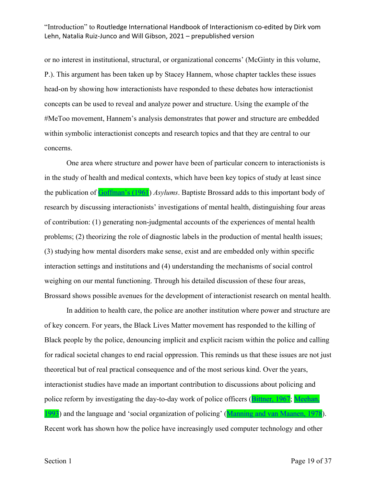or no interest in institutional, structural, or organizational concerns' (McGinty in this volume, P.). This argument has been taken up by Stacey Hannem, whose chapter tackles these issues head-on by showing how interactionists have responded to these debates how interactionist concepts can be used to reveal and analyze power and structure. Using the example of the #MeToo movement, Hannem's analysis demonstrates that power and structure are embedded within symbolic interactionist concepts and research topics and that they are central to our concerns.

One area where structure and power have been of particular concern to interactionists is in the study of health and medical contexts, which have been key topics of study at least since the publication of Goffman's (1961) *Asylums*. Baptiste Brossard adds to this important body of research by discussing interactionists' investigations of mental health, distinguishing four areas of contribution: (1) generating non-judgmental accounts of the experiences of mental health problems; (2) theorizing the role of diagnostic labels in the production of mental health issues; (3) studying how mental disorders make sense, exist and are embedded only within specific interaction settings and institutions and (4) understanding the mechanisms of social control weighing on our mental functioning. Through his detailed discussion of these four areas, Brossard shows possible avenues for the development of interactionist research on mental health.

In addition to health care, the police are another institution where power and structure are of key concern. For years, the Black Lives Matter movement has responded to the killing of Black people by the police, denouncing implicit and explicit racism within the police and calling for radical societal changes to end racial oppression. This reminds us that these issues are not just theoretical but of real practical consequence and of the most serious kind. Over the years, interactionist studies have made an important contribution to discussions about policing and police reform by investigating the day-to-day work of police officers (**Bittner**, 1967; Meehan, 1993) and the language and 'social organization of policing' (Manning and van Maanen, 1978). Recent work has shown how the police have increasingly used computer technology and other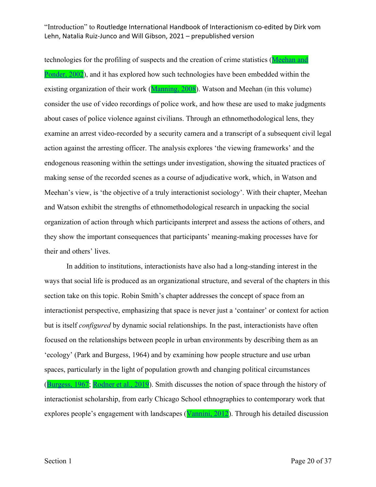technologies for the profiling of suspects and the creation of crime statistics (Meehan and Ponder, 2002), and it has explored how such technologies have been embedded within the existing organization of their work (Manning, 2008). Watson and Meehan (in this volume) consider the use of video recordings of police work, and how these are used to make judgments about cases of police violence against civilians. Through an ethnomethodological lens, they examine an arrest video-recorded by a security camera and a transcript of a subsequent civil legal action against the arresting officer. The analysis explores 'the viewing frameworks' and the endogenous reasoning within the settings under investigation, showing the situated practices of making sense of the recorded scenes as a course of adjudicative work, which, in Watson and Meehan's view, is 'the objective of a truly interactionist sociology'. With their chapter, Meehan and Watson exhibit the strengths of ethnomethodological research in unpacking the social organization of action through which participants interpret and assess the actions of others, and they show the important consequences that participants' meaning-making processes have for their and others' lives.

In addition to institutions, interactionists have also had a long-standing interest in the ways that social life is produced as an organizational structure, and several of the chapters in this section take on this topic. Robin Smith's chapter addresses the concept of space from an interactionist perspective, emphasizing that space is never just a 'container' or context for action but is itself *configured* by dynamic social relationships. In the past, interactionists have often focused on the relationships between people in urban environments by describing them as an 'ecology' (Park and Burgess, 1964) and by examining how people structure and use urban spaces, particularly in the light of population growth and changing political circumstances (Burgess, 1967; Rodner et al., 2019). Smith discusses the notion of space through the history of interactionist scholarship, from early Chicago School ethnographies to contemporary work that explores people's engagement with landscapes  $(Vannini, 2012)$ . Through his detailed discussion

Section 1 Page 20 of 37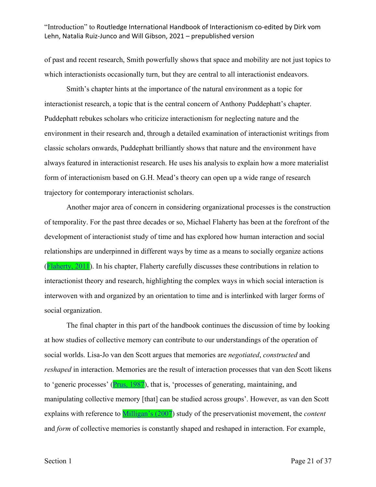of past and recent research, Smith powerfully shows that space and mobility are not just topics to which interactionists occasionally turn, but they are central to all interactionist endeavors.

Smith's chapter hints at the importance of the natural environment as a topic for interactionist research, a topic that is the central concern of Anthony Puddephatt's chapter. Puddephatt rebukes scholars who criticize interactionism for neglecting nature and the environment in their research and, through a detailed examination of interactionist writings from classic scholars onwards, Puddephatt brilliantly shows that nature and the environment have always featured in interactionist research. He uses his analysis to explain how a more materialist form of interactionism based on G.H. Mead's theory can open up a wide range of research trajectory for contemporary interactionist scholars.

Another major area of concern in considering organizational processes is the construction of temporality. For the past three decades or so, Michael Flaherty has been at the forefront of the development of interactionist study of time and has explored how human interaction and social relationships are underpinned in different ways by time as a means to socially organize actions (Flaherty, 2011). In his chapter, Flaherty carefully discusses these contributions in relation to interactionist theory and research, highlighting the complex ways in which social interaction is interwoven with and organized by an orientation to time and is interlinked with larger forms of social organization.

The final chapter in this part of the handbook continues the discussion of time by looking at how studies of collective memory can contribute to our understandings of the operation of social worlds. Lisa-Jo van den Scott argues that memories are *negotiated*, *constructed* and *reshaped* in interaction. Memories are the result of interaction processes that van den Scott likens to 'generic processes' (Prus, 1987), that is, 'processes of generating, maintaining, and manipulating collective memory [that] can be studied across groups'. However, as van den Scott explains with reference to Milligan's (2007) study of the preservationist movement, the *content* and *form* of collective memories is constantly shaped and reshaped in interaction. For example,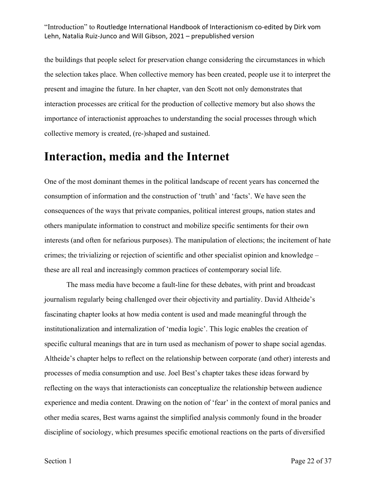the buildings that people select for preservation change considering the circumstances in which the selection takes place. When collective memory has been created, people use it to interpret the present and imagine the future. In her chapter, van den Scott not only demonstrates that interaction processes are critical for the production of collective memory but also shows the importance of interactionist approaches to understanding the social processes through which collective memory is created, (re-)shaped and sustained.

### **Interaction, media and the Internet**

One of the most dominant themes in the political landscape of recent years has concerned the consumption of information and the construction of 'truth' and 'facts'. We have seen the consequences of the ways that private companies, political interest groups, nation states and others manipulate information to construct and mobilize specific sentiments for their own interests (and often for nefarious purposes). The manipulation of elections; the incitement of hate crimes; the trivializing or rejection of scientific and other specialist opinion and knowledge – these are all real and increasingly common practices of contemporary social life.

The mass media have become a fault-line for these debates, with print and broadcast journalism regularly being challenged over their objectivity and partiality. David Altheide's fascinating chapter looks at how media content is used and made meaningful through the institutionalization and internalization of 'media logic'. This logic enables the creation of specific cultural meanings that are in turn used as mechanism of power to shape social agendas. Altheide's chapter helps to reflect on the relationship between corporate (and other) interests and processes of media consumption and use. Joel Best's chapter takes these ideas forward by reflecting on the ways that interactionists can conceptualize the relationship between audience experience and media content. Drawing on the notion of 'fear' in the context of moral panics and other media scares, Best warns against the simplified analysis commonly found in the broader discipline of sociology, which presumes specific emotional reactions on the parts of diversified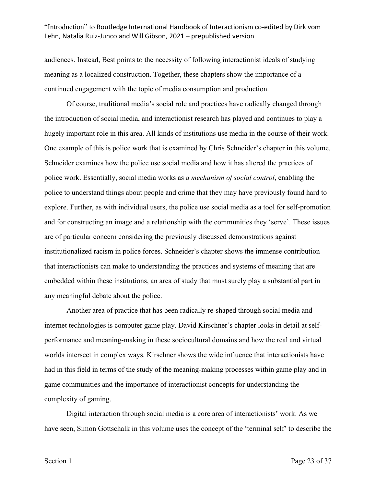audiences. Instead, Best points to the necessity of following interactionist ideals of studying meaning as a localized construction. Together, these chapters show the importance of a continued engagement with the topic of media consumption and production.

Of course, traditional media's social role and practices have radically changed through the introduction of social media, and interactionist research has played and continues to play a hugely important role in this area. All kinds of institutions use media in the course of their work. One example of this is police work that is examined by Chris Schneider's chapter in this volume. Schneider examines how the police use social media and how it has altered the practices of police work. Essentially, social media works as *a mechanism of social control*, enabling the police to understand things about people and crime that they may have previously found hard to explore. Further, as with individual users, the police use social media as a tool for self-promotion and for constructing an image and a relationship with the communities they 'serve'. These issues are of particular concern considering the previously discussed demonstrations against institutionalized racism in police forces. Schneider's chapter shows the immense contribution that interactionists can make to understanding the practices and systems of meaning that are embedded within these institutions, an area of study that must surely play a substantial part in any meaningful debate about the police.

Another area of practice that has been radically re-shaped through social media and internet technologies is computer game play. David Kirschner's chapter looks in detail at selfperformance and meaning-making in these sociocultural domains and how the real and virtual worlds intersect in complex ways. Kirschner shows the wide influence that interactionists have had in this field in terms of the study of the meaning-making processes within game play and in game communities and the importance of interactionist concepts for understanding the complexity of gaming.

Digital interaction through social media is a core area of interactionists' work. As we have seen, Simon Gottschalk in this volume uses the concept of the 'terminal self' to describe the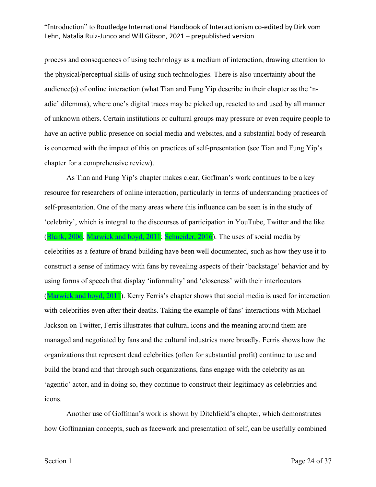process and consequences of using technology as a medium of interaction, drawing attention to the physical/perceptual skills of using such technologies. There is also uncertainty about the audience(s) of online interaction (what Tian and Fung Yip describe in their chapter as the 'nadic' dilemma), where one's digital traces may be picked up, reacted to and used by all manner of unknown others. Certain institutions or cultural groups may pressure or even require people to have an active public presence on social media and websites, and a substantial body of research is concerned with the impact of this on practices of self-presentation (see Tian and Fung Yip's chapter for a comprehensive review).

As Tian and Fung Yip's chapter makes clear, Goffman's work continues to be a key resource for researchers of online interaction, particularly in terms of understanding practices of self-presentation. One of the many areas where this influence can be seen is in the study of 'celebrity', which is integral to the discourses of participation in YouTube, Twitter and the like (Blank, 2006; Marwick and boyd, 2011; Schneider, 2016). The uses of social media by celebrities as a feature of brand building have been well documented, such as how they use it to construct a sense of intimacy with fans by revealing aspects of their 'backstage' behavior and by using forms of speech that display 'informality' and 'closeness' with their interlocutors (Marwick and boyd, 2011). Kerry Ferris's chapter shows that social media is used for interaction with celebrities even after their deaths. Taking the example of fans' interactions with Michael Jackson on Twitter, Ferris illustrates that cultural icons and the meaning around them are managed and negotiated by fans and the cultural industries more broadly. Ferris shows how the organizations that represent dead celebrities (often for substantial profit) continue to use and build the brand and that through such organizations, fans engage with the celebrity as an 'agentic' actor, and in doing so, they continue to construct their legitimacy as celebrities and icons.

Another use of Goffman's work is shown by Ditchfield's chapter, which demonstrates how Goffmanian concepts, such as facework and presentation of self, can be usefully combined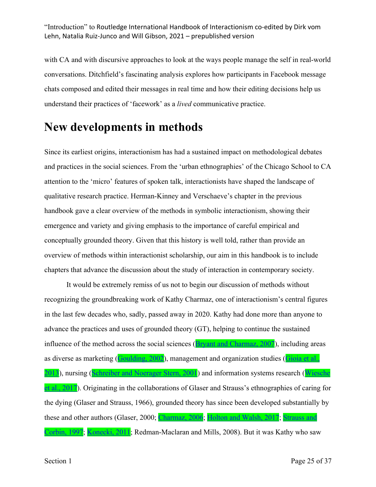with CA and with discursive approaches to look at the ways people manage the self in real-world conversations. Ditchfield's fascinating analysis explores how participants in Facebook message chats composed and edited their messages in real time and how their editing decisions help us understand their practices of 'facework' as a *lived* communicative practice.

### **New developments in methods**

Since its earliest origins, interactionism has had a sustained impact on methodological debates and practices in the social sciences. From the 'urban ethnographies' of the Chicago School to CA attention to the 'micro' features of spoken talk, interactionists have shaped the landscape of qualitative research practice. Herman-Kinney and Verschaeve's chapter in the previous handbook gave a clear overview of the methods in symbolic interactionism, showing their emergence and variety and giving emphasis to the importance of careful empirical and conceptually grounded theory. Given that this history is well told, rather than provide an overview of methods within interactionist scholarship, our aim in this handbook is to include chapters that advance the discussion about the study of interaction in contemporary society.

It would be extremely remiss of us not to begin our discussion of methods without recognizing the groundbreaking work of Kathy Charmaz, one of interactionism's central figures in the last few decades who, sadly, passed away in 2020. Kathy had done more than anyone to advance the practices and uses of grounded theory (GT), helping to continue the sustained influence of the method across the social sciences  $(Bryant and Charmaz, 2007)$ , including areas as diverse as marketing (Goulding, 2002), management and organization studies (Gioia et al., 2013), nursing (Schreiber and Noerager Stern, 2001) and information systems research (Wiesche et al., 2017). Originating in the collaborations of Glaser and Strauss's ethnographies of caring for the dying (Glaser and Strauss, 1966), grounded theory has since been developed substantially by these and other authors (Glaser, 2000; Charmaz, 2006; Holton and Walsh, 2017; Strauss and Corbin, 1997; Konecki, 2011; Redman-Maclaran and Mills, 2008). But it was Kathy who saw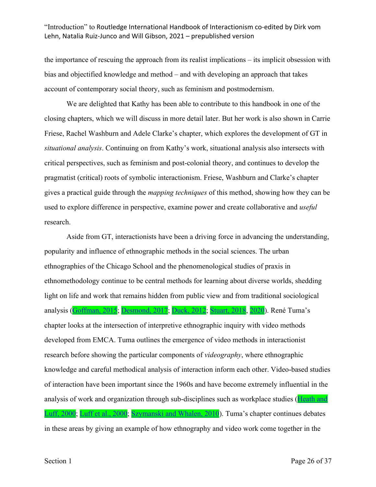the importance of rescuing the approach from its realist implications – its implicit obsession with bias and objectified knowledge and method – and with developing an approach that takes account of contemporary social theory, such as feminism and postmodernism.

We are delighted that Kathy has been able to contribute to this handbook in one of the closing chapters, which we will discuss in more detail later. But her work is also shown in Carrie Friese, Rachel Washburn and Adele Clarke's chapter, which explores the development of GT in *situational analysis*. Continuing on from Kathy's work, situational analysis also intersects with critical perspectives, such as feminism and post-colonial theory, and continues to develop the pragmatist (critical) roots of symbolic interactionism. Friese, Washburn and Clarke's chapter gives a practical guide through the *mapping techniques* of this method, showing how they can be used to explore difference in perspective, examine power and create collaborative and *useful* research.

Aside from GT, interactionists have been a driving force in advancing the understanding, popularity and influence of ethnographic methods in the social sciences. The urban ethnographies of the Chicago School and the phenomenological studies of praxis in ethnomethodology continue to be central methods for learning about diverse worlds, shedding light on life and work that remains hidden from public view and from traditional sociological analysis (Goffman, 2015; Desmond, 2017; Duck, 2012; Stuart, 2018, 2020). René Tuma's chapter looks at the intersection of interpretive ethnographic inquiry with video methods developed from EMCA. Tuma outlines the emergence of video methods in interactionist research before showing the particular components of *videography*, where ethnographic knowledge and careful methodical analysis of interaction inform each other. Video-based studies of interaction have been important since the 1960s and have become extremely influential in the analysis of work and organization through sub-disciplines such as workplace studies (Heath and Luff, 2000; Luff et al., 2000; Szymanski and Whalen, 2010). Tuma's chapter continues debates in these areas by giving an example of how ethnography and video work come together in the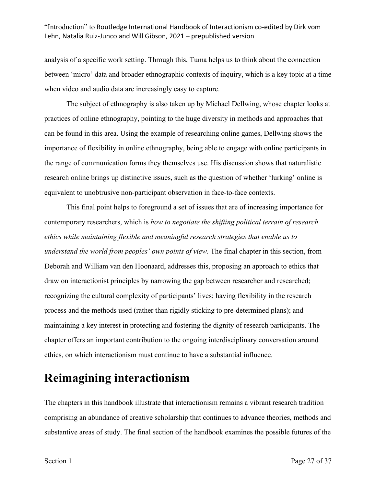analysis of a specific work setting. Through this, Tuma helps us to think about the connection between 'micro' data and broader ethnographic contexts of inquiry, which is a key topic at a time when video and audio data are increasingly easy to capture.

The subject of ethnography is also taken up by Michael Dellwing, whose chapter looks at practices of online ethnography, pointing to the huge diversity in methods and approaches that can be found in this area. Using the example of researching online games, Dellwing shows the importance of flexibility in online ethnography, being able to engage with online participants in the range of communication forms they themselves use. His discussion shows that naturalistic research online brings up distinctive issues, such as the question of whether 'lurking' online is equivalent to unobtrusive non-participant observation in face-to-face contexts.

This final point helps to foreground a set of issues that are of increasing importance for contemporary researchers, which is *how to negotiate the shifting political terrain of research ethics while maintaining flexible and meaningful research strategies that enable us to understand the world from peoples' own points of view*. The final chapter in this section, from Deborah and William van den Hoonaard, addresses this, proposing an approach to ethics that draw on interactionist principles by narrowing the gap between researcher and researched; recognizing the cultural complexity of participants' lives; having flexibility in the research process and the methods used (rather than rigidly sticking to pre-determined plans); and maintaining a key interest in protecting and fostering the dignity of research participants. The chapter offers an important contribution to the ongoing interdisciplinary conversation around ethics, on which interactionism must continue to have a substantial influence.

### **Reimagining interactionism**

The chapters in this handbook illustrate that interactionism remains a vibrant research tradition comprising an abundance of creative scholarship that continues to advance theories, methods and substantive areas of study. The final section of the handbook examines the possible futures of the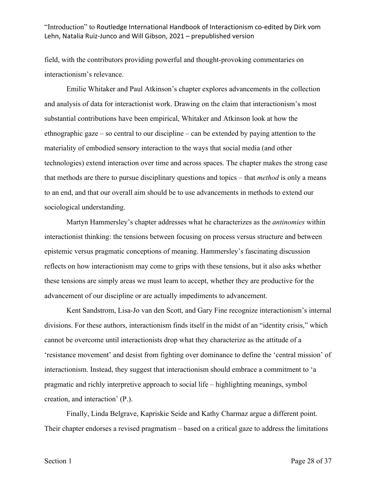field, with the contributors providing powerful and thought-provoking commentaries on interactionism's relevance.

Emilie Whitaker and Paul Atkinson's chapter explores advancements in the collection and analysis of data for interactionist work. Drawing on the claim that interactionism's most substantial contributions have been empirical, Whitaker and Atkinson look at how the ethnographic gaze – so central to our discipline – can be extended by paying attention to the materiality of embodied sensory interaction to the ways that social media (and other technologies) extend interaction over time and across spaces. The chapter makes the strong case that methods are there to pursue disciplinary questions and topics – that *method* is only a means to an end, and that our overall aim should be to use advancements in methods to extend our sociological understanding.

Martyn Hammersley's chapter addresses what he characterizes as the *antinomies* within interactionist thinking: the tensions between focusing on process versus structure and between epistemic versus pragmatic conceptions of meaning. Hammersley's fascinating discussion reflects on how interactionism may come to grips with these tensions, but it also asks whether these tensions are simply areas we must learn to accept, whether they are productive for the advancement of our discipline or are actually impediments to advancement.

Kent Sandstrom, Lisa-Jo van den Scott, and Gary Fine recognize interactionism's internal divisions. For these authors, interactionism finds itself in the midst of an "identity crisis," which cannot be overcome until interactionists drop what they characterize as the attitude of a 'resistance movement' and desist from fighting over dominance to define the 'central mission' of interactionism. Instead, they suggest that interactionism should embrace a commitment to 'a pragmatic and richly interpretive approach to social life – highlighting meanings, symbol creation, and interaction' (P.).

Finally, Linda Belgrave, Kapriskie Seide and Kathy Charmaz argue a different point. Their chapter endorses a revised pragmatism – based on a critical gaze to address the limitations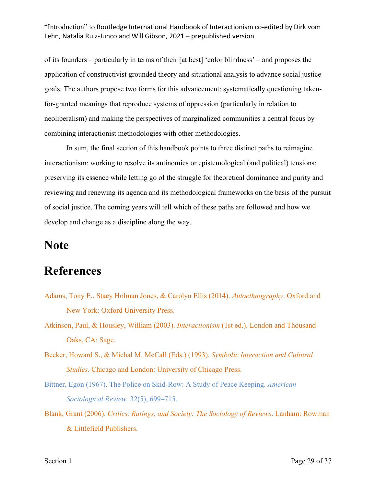of its founders – particularly in terms of their [at best] 'color blindness' – and proposes the application of constructivist grounded theory and situational analysis to advance social justice goals. The authors propose two forms for this advancement: systematically questioning takenfor-granted meanings that reproduce systems of oppression (particularly in relation to neoliberalism) and making the perspectives of marginalized communities a central focus by combining interactionist methodologies with other methodologies.

In sum, the final section of this handbook points to three distinct paths to reimagine interactionism: working to resolve its antinomies or epistemological (and political) tensions; preserving its essence while letting go of the struggle for theoretical dominance and purity and reviewing and renewing its agenda and its methodological frameworks on the basis of the pursuit of social justice. The coming years will tell which of these paths are followed and how we develop and change as a discipline along the way.

### **Note**

### **References**

- Adams, Tony E., Stacy Holman Jones, & Carolyn Ellis (2014). *Autoethnography*. Oxford and New York: Oxford University Press.
- Atkinson, Paul, & Housley, William (2003). *Interactionism* (1st ed.). London and Thousand Oaks, CA: Sage.
- Becker, Howard S., & Michal M. McCall (Eds.) (1993). *Symbolic Interaction and Cultural Studies*. Chicago and London: University of Chicago Press.
- Bittner, Egon (1967). The Police on Skid-Row: A Study of Peace Keeping. *American Sociological Review,* 32(5), 699–715.
- Blank, Grant (2006). *Critics, Ratings, and Society: The Sociology of Reviews*. Lanham: Rowman & Littlefield Publishers.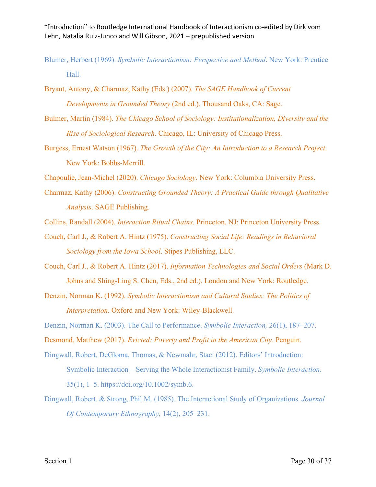- Blumer, Herbert (1969). *Symbolic Interactionism: Perspective and Method*. New York: Prentice Hall.
- Bryant, Antony, & Charmaz, Kathy (Eds.) (2007). *The SAGE Handbook of Current Developments in Grounded Theory* (2nd ed.). Thousand Oaks, CA: Sage.
- Bulmer, Martin (1984). *The Chicago School of Sociology: Institutionalization, Diversity and the Rise of Sociological Research*. Chicago, IL: University of Chicago Press.
- Burgess, Ernest Watson (1967). *The Growth of the City: An Introduction to a Research Project*. New York: Bobbs-Merrill.

Chapoulie, Jean-Michel (2020). *Chicago Sociology*. New York: Columbia University Press.

- Charmaz, Kathy (2006). *Constructing Grounded Theory: A Practical Guide through Qualitative Analysis*. SAGE Publishing.
- Collins, Randall (2004). *Interaction Ritual Chains*. Princeton, NJ: Princeton University Press.
- Couch, Carl J., & Robert A. Hintz (1975). *Constructing Social Life: Readings in Behavioral Sociology from the Iowa School*. Stipes Publishing, LLC.
- Couch, Carl J., & Robert A. Hintz (2017). *Information Technologies and Social Orders* (Mark D. Johns and Shing-Ling S. Chen, Eds., 2nd ed.). London and New York: Routledge.
- Denzin, Norman K. (1992). *Symbolic Interactionism and Cultural Studies: The Politics of Interpretation*. Oxford and New York: Wiley-Blackwell.
- Denzin, Norman K. (2003). The Call to Performance. *Symbolic Interaction,* 26(1), 187–207.
- Desmond, Matthew (2017). *Evicted: Poverty and Profit in the American City*. Penguin.
- Dingwall, Robert, DeGloma, Thomas, & Newmahr, Staci (2012). Editors' Introduction: Symbolic Interaction – Serving the Whole Interactionist Family. *Symbolic Interaction,* 35(1), 1–5. https://doi.org/10.1002/symb.6.
- Dingwall, Robert, & Strong, Phil M. (1985). The Interactional Study of Organizations. *Journal Of Contemporary Ethnography,* 14(2), 205–231.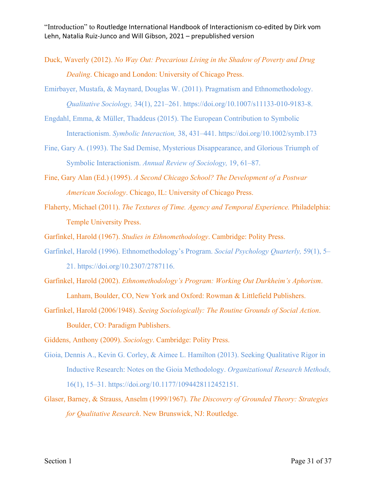- Duck, Waverly (2012). *No Way Out: Precarious Living in the Shadow of Poverty and Drug Dealing*. Chicago and London: University of Chicago Press.
- Emirbayer, Mustafa, & Maynard, Douglas W. (2011). Pragmatism and Ethnomethodology. *Qualitative Sociology,* 34(1), 221–261. https://doi.org/10.1007/s11133-010-9183-8.
- Engdahl, Emma, & Müller, Thaddeus (2015). The European Contribution to Symbolic Interactionism. *Symbolic Interaction,* 38, 431–441. https://doi.org/10.1002/symb.173
- Fine, Gary A. (1993). The Sad Demise, Mysterious Disappearance, and Glorious Triumph of Symbolic Interactionism. *Annual Review of Sociology,* 19, 61–87.
- Fine, Gary Alan (Ed.) (1995). *A Second Chicago School? The Development of a Postwar American Sociology*. Chicago, IL: University of Chicago Press.
- Flaherty, Michael (2011). *The Textures of Time. Agency and Temporal Experience.* Philadelphia: Temple University Press.
- Garfinkel, Harold (1967). *Studies in Ethnomethodology*. Cambridge: Polity Press.
- Garfinkel, Harold (1996). Ethnomethodology's Program. *Social Psychology Quarterly,* 59(1), 5– 21. https://doi.org/10.2307/2787116.
- Garfinkel, Harold (2002). *Ethnomethodology's Program: Working Out Durkheim's Aphorism*. Lanham, Boulder, CO, New York and Oxford: Rowman & Littlefield Publishers.
- Garfinkel, Harold (2006/1948). *Seeing Sociologically: The Routine Grounds of Social Action*. Boulder, CO: Paradigm Publishers.
- Giddens, Anthony (2009). *Sociology*. Cambridge: Polity Press.
- Gioia, Dennis A., Kevin G. Corley, & Aimee L. Hamilton (2013). Seeking Qualitative Rigor in Inductive Research: Notes on the Gioia Methodology. *Organizational Research Methods,* 16(1), 15–31. https://doi.org/10.1177/1094428112452151.
- Glaser, Barney, & Strauss, Anselm (1999/1967). *The Discovery of Grounded Theory: Strategies for Qualitative Research*. New Brunswick, NJ: Routledge.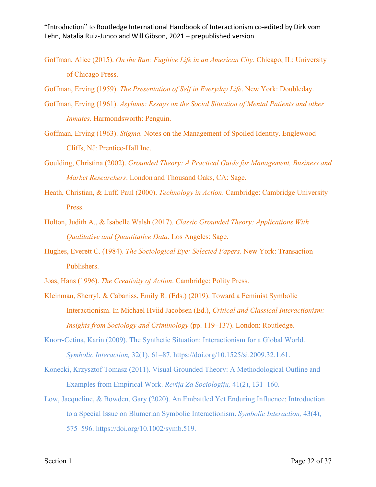Goffman, Alice (2015). *On the Run: Fugitive Life in an American City*. Chicago, IL: University of Chicago Press.

Goffman, Erving (1959). *The Presentation of Self in Everyday Life*. New York: Doubleday.

- Goffman, Erving (1961). *Asylums: Essays on the Social Situation of Mental Patients and other Inmates*. Harmondsworth: Penguin.
- Goffman, Erving (1963). *Stigma.* Notes on the Management of Spoiled Identity. Englewood Cliffs, NJ: Prentice-Hall Inc.
- Goulding, Christina (2002). *Grounded Theory: A Practical Guide for Management, Business and Market Researchers*. London and Thousand Oaks, CA: Sage.
- Heath, Christian, & Luff, Paul (2000). *Technology in Action*. Cambridge: Cambridge University Press.
- Holton, Judith A., & Isabelle Walsh (2017). *Classic Grounded Theory: Applications With Qualitative and Quantitative Data*. Los Angeles: Sage.
- Hughes, Everett C. (1984). *The Sociological Eye: Selected Papers.* New York: Transaction Publishers.
- Joas, Hans (1996). *The Creativity of Action*. Cambridge: Polity Press.
- Kleinman, Sherryl, & Cabaniss, Emily R. (Eds.) (2019). Toward a Feminist Symbolic Interactionism. In Michael Hviid Jacobsen (Ed.), *Critical and Classical Interactionism: Insights from Sociology and Criminology* (pp. 119–137). London: Routledge.
- Knorr-Cetina, Karin (2009). The Synthetic Situation: Interactionism for a Global World. *Symbolic Interaction,* 32(1), 61–87. https://doi.org/10.1525/si.2009.32.1.61.
- Konecki, Krzysztof Tomasz (2011). Visual Grounded Theory: A Methodological Outline and Examples from Empirical Work. *Revija Za Sociologiju,* 41(2), 131–160.
- Low, Jacqueline, & Bowden, Gary (2020). An Embattled Yet Enduring Influence: Introduction to a Special Issue on Blumerian Symbolic Interactionism. *Symbolic Interaction,* 43(4), 575–596. https://doi.org/10.1002/symb.519.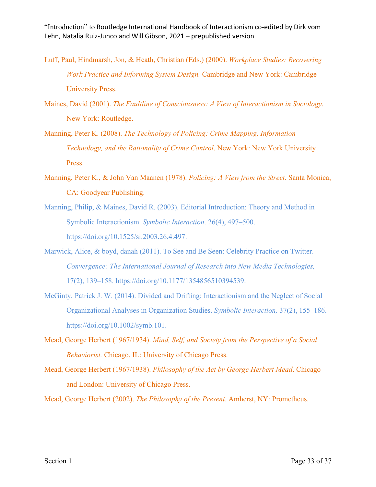- Luff, Paul, Hindmarsh, Jon, & Heath, Christian (Eds.) (2000). *Workplace Studies: Recovering Work Practice and Informing System Design.* Cambridge and New York: Cambridge University Press.
- Maines, David (2001). *The Faultline of Consciousness: A View of Interactionism in Sociology.* New York: Routledge.
- Manning, Peter K. (2008). *The Technology of Policing: Crime Mapping, Information Technology, and the Rationality of Crime Control*. New York: New York University Press.
- Manning, Peter K., & John Van Maanen (1978). *Policing: A View from the Street*. Santa Monica, CA: Goodyear Publishing.
- Manning, Philip, & Maines, David R. (2003). Editorial Introduction: Theory and Method in Symbolic Interactionism. *Symbolic Interaction,* 26(4), 497–500. https://doi.org/10.1525/si.2003.26.4.497.
- Marwick, Alice, & boyd, danah (2011). To See and Be Seen: Celebrity Practice on Twitter. *Convergence: The International Journal of Research into New Media Technologies,* 17(2), 139–158. https://doi.org/10.1177/1354856510394539.
- McGinty, Patrick J. W. (2014). Divided and Drifting: Interactionism and the Neglect of Social Organizational Analyses in Organization Studies. *Symbolic Interaction,* 37(2), 155–186. https://doi.org/10.1002/symb.101.
- Mead, George Herbert (1967/1934). *Mind, Self, and Society from the Perspective of a Social Behaviorist.* Chicago, IL: University of Chicago Press.
- Mead, George Herbert (1967/1938). *Philosophy of the Act by George Herbert Mead*. Chicago and London: University of Chicago Press.

Mead, George Herbert (2002). *The Philosophy of the Present*. Amherst, NY: Prometheus.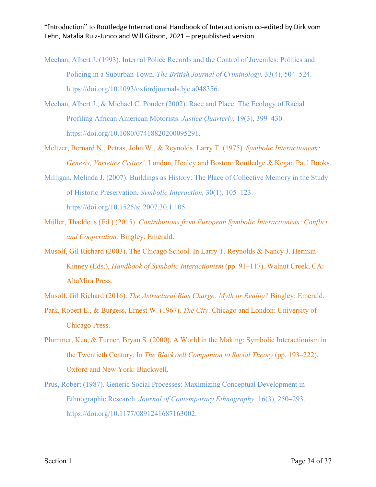- Meehan, Albert J. (1993). Internal Police Records and the Control of Juveniles: Politics and Policing in a Suburban Town. *The British Journal of Criminology,* 33(4), 504–524. https://doi.org/10.1093/oxfordjournals.bjc.a048356.
- Meehan, Albert J., & Michael C. Ponder (2002). Race and Place: The Ecology of Racial Profiling African American Motorists. *Justice Quarterly,* 19(3), 399–430. https://doi.org/10.1080/07418820200095291.
- Meltzer, Bernard N., Petras, John W., & Reynolds, Larry T. (1975). *Symbolic Interactionism: Genesis, Varieties Critics'*. London, Henley and Boston: Routledge & Kegan Paul Books.
- Milligan, Melinda J. (2007). Buildings as History: The Place of Collective Memory in the Study of Historic Preservation. *Symbolic Interaction,* 30(1), 105–123. https://doi.org/10.1525/si.2007.30.1.105.
- Müller, Thaddeus (Ed.) (2015). *Contributions from European Symbolic Interactionists: Conflict and Cooperation.* Bingley: Emerald.
- Musolf, Gil Richard (2003). The Chicago School. In Larry T. Reynolds & Nancy J. Herman-Kinney (Eds.), *Handbook of Symbolic Interactionism* (pp. 91–117). Walnut Creek, CA: AltaMira Press.
- Musolf, Gil Richard (2016). *The Astructural Bias Charge: Myth or Reality?* Bingley: Emerald.
- Park, Robert E., & Burgess, Ernest W. (1967). *The City*. Chicago and London: University of Chicago Press.
- Plummer, Ken, & Turner, Bryan S. (2000). A World in the Making: Symbolic Interactionism in the Twentieth Century. In *The Blackwell Companion to Social Theory* (pp. 193–222). Oxford and New York: Blackwell.
- Prus, Robert (1987). Generic Social Processes: Maximizing Conceptual Development in Ethnographic Research. *Journal of Contemporary Ethnography,* 16(3), 250–293. https://doi.org/10.1177/0891241687163002.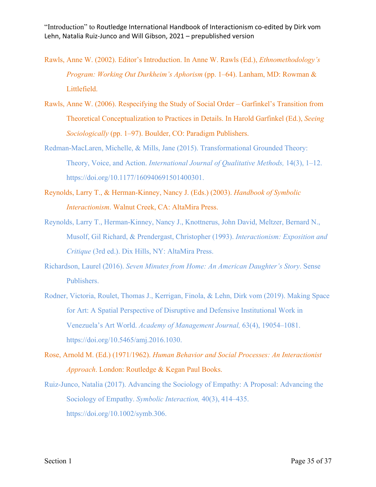- Rawls, Anne W. (2002). Editor's Introduction. In Anne W. Rawls (Ed.), *Ethnomethodology's Program: Working Out Durkheim's Aphorism* (pp. 1–64). Lanham, MD: Rowman & Littlefield.
- Rawls, Anne W. (2006). Respecifying the Study of Social Order Garfinkel's Transition from Theoretical Conceptualization to Practices in Details. In Harold Garfinkel (Ed.), *Seeing Sociologically* (pp. 1–97). Boulder, CO: Paradigm Publishers.
- Redman-MacLaren, Michelle, & Mills, Jane (2015). Transformational Grounded Theory: Theory, Voice, and Action. *International Journal of Qualitative Methods,* 14(3), 1–12. https://doi.org/10.1177/160940691501400301.
- Reynolds, Larry T., & Herman-Kinney, Nancy J. (Eds.) (2003). *Handbook of Symbolic Interactionism*. Walnut Creek, CA: AltaMira Press.
- Reynolds, Larry T., Herman-Kinney, Nancy J., Knottnerus, John David, Meltzer, Bernard N., Musolf, Gil Richard, & Prendergast, Christopher (1993). *Interactionism: Exposition and Critique* (3rd ed.). Dix Hills, NY: AltaMira Press.
- Richardson, Laurel (2016). *Seven Minutes from Home: An American Daughter's Story*. Sense Publishers.
- Rodner, Victoria, Roulet, Thomas J., Kerrigan, Finola, & Lehn, Dirk vom (2019). Making Space for Art: A Spatial Perspective of Disruptive and Defensive Institutional Work in Venezuela's Art World. *Academy of Management Journal,* 63(4), 19054–1081. https://doi.org/10.5465/amj.2016.1030.
- Rose, Arnold M. (Ed.) (1971/1962). *Human Behavior and Social Processes: An Interactionist Approach*. London: Routledge & Kegan Paul Books.
- Ruiz-Junco, Natalia (2017). Advancing the Sociology of Empathy: A Proposal: Advancing the Sociology of Empathy. *Symbolic Interaction,* 40(3), 414–435. https://doi.org/10.1002/symb.306.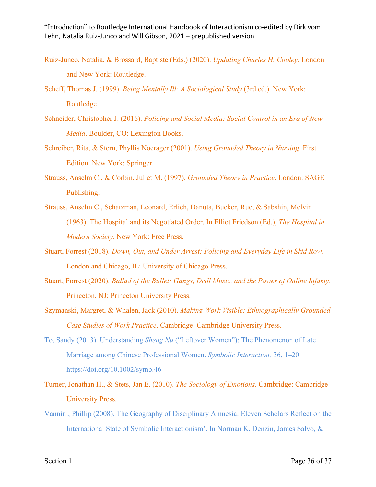- Ruiz-Junco, Natalia, & Brossard, Baptiste (Eds.) (2020). *Updating Charles H. Cooley*. London and New York: Routledge.
- Scheff, Thomas J. (1999). *Being Mentally Ill: A Sociological Study* (3rd ed.). New York: Routledge.
- Schneider, Christopher J. (2016). *Policing and Social Media: Social Control in an Era of New Media*. Boulder, CO: Lexington Books.
- Schreiber, Rita, & Stern, Phyllis Noerager (2001). *Using Grounded Theory in Nursing*. First Edition. New York: Springer.
- Strauss, Anselm C., & Corbin, Juliet M. (1997). *Grounded Theory in Practice*. London: SAGE Publishing.
- Strauss, Anselm C., Schatzman, Leonard, Erlich, Danuta, Bucker, Rue, & Sabshin, Melvin (1963). The Hospital and its Negotiated Order. In Elliot Friedson (Ed.), *The Hospital in Modern Society*. New York: Free Press.
- Stuart, Forrest (2018). *Down, Out, and Under Arrest: Policing and Everyday Life in Skid Row*. London and Chicago, IL: University of Chicago Press.
- Stuart, Forrest (2020). *Ballad of the Bullet: Gangs, Drill Music, and the Power of Online Infamy*. Princeton, NJ: Princeton University Press.
- Szymanski, Margret, & Whalen, Jack (2010). *Making Work Visible: Ethnographically Grounded Case Studies of Work Practice*. Cambridge: Cambridge University Press.
- To, Sandy (2013). Understanding *Sheng Nu* ("Leftover Women"): The Phenomenon of Late Marriage among Chinese Professional Women. *Symbolic Interaction,* 36, 1–20. https://doi.org/10.1002/symb.46
- Turner, Jonathan H., & Stets, Jan E. (2010). *The Sociology of Emotions*. Cambridge: Cambridge University Press.
- Vannini, Phillip (2008). The Geography of Disciplinary Amnesia: Eleven Scholars Reflect on the International State of Symbolic Interactionism'. In Norman K. Denzin, James Salvo, &